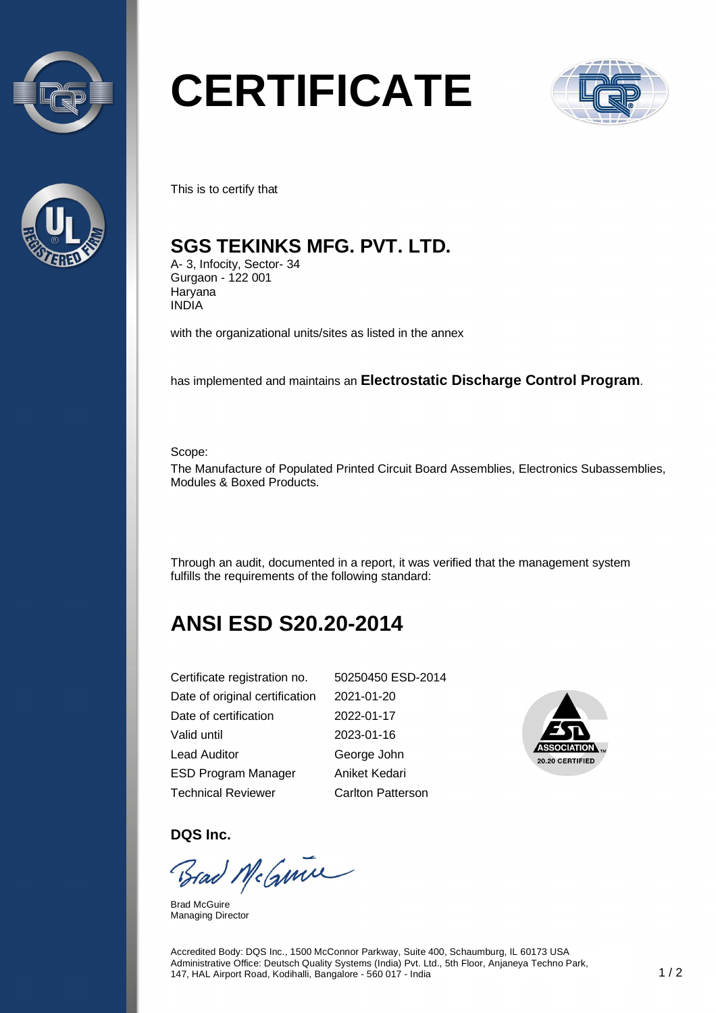



# **CERTIFICATE**



This is to certify that

#### **SGS TEKINKS MFG. PVT. LTD.**

A- 3, Infocity, Sector- 34 Gurgaon - 122 001 **Haryana** INDIA

with the organizational units/sites as listed in the annex

has implemented and maintains an **Electrostatic Discharge Control Program**.

Scope:

The Manufacture of Populated Printed Circuit Board Assemblies, Electronics Subassemblies, Modules & Boxed Products.

Through an audit, documented in a report, it was verified that the management system fulfills the requirements of the following standard:

## **ANSI ESD S20.20-2014**

| Certificate registration no.   | 50250450 ESD-2014        |
|--------------------------------|--------------------------|
| Date of original certification | 2021-01-20               |
| Date of certification          | 2022-01-17               |
| Valid until                    | 2023-01-16               |
| Lead Auditor                   | George John              |
| <b>ESD Program Manager</b>     | Aniket Kedari            |
| Technical Reviewer             | <b>Carlton Patterson</b> |



**DQS Inc.** 

Brad McGuine

Brad McGuire Managing Director

Accredited Body: DQS Inc., 1500 McConnor Parkway, Suite 400, Schaumburg, IL 60173 USA Administrative Office: Deutsch Quality Systems (India) Pvt. Ltd., 5th Floor, Anjaneya Techno Park, 147, HAL Airport Road, Kodihalli, Bangalore - 560 017 - India 1 / 2